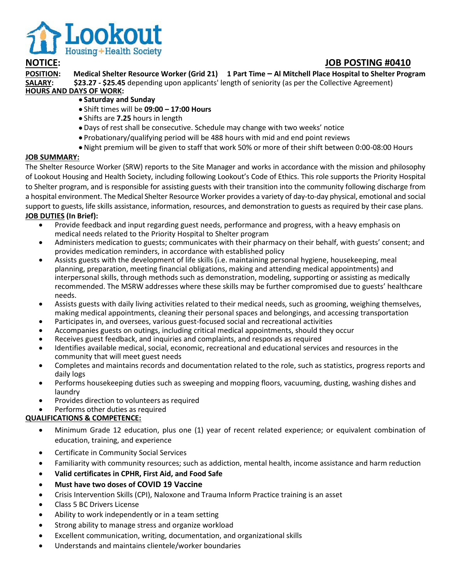

## **NOTICE: JOB POSTING #0410**

**POSITION: Medical Shelter Resource Worker (Grid 21) 1 Part Time – Al Mitchell Place Hospital to Shelter Program \$23.27 - \$25.45** depending upon applicants' length of seniority (as per the Collective Agreement) **HOURS AND DAYS OF WORK:**

- **Saturday and Sunday**
- Shift times will be **09:00 – 17:00 Hours**
- Shifts are **7.25** hours in length
- Days of rest shall be consecutive. Schedule may change with two weeks' notice
- Probationary/qualifying period will be 488 hours with mid and end point reviews
- Night premium will be given to staff that work 50% or more of their shift between 0:00-08:00 Hours

## **JOB SUMMARY:**

The Shelter Resource Worker (SRW) reports to the Site Manager and works in accordance with the mission and philosophy of Lookout Housing and Health Society, including following Lookout's Code of Ethics. This role supports the Priority Hospital to Shelter program, and is responsible for assisting guests with their transition into the community following discharge from a hospital environment. The Medical Shelter Resource Worker provides a variety of day-to-day physical, emotional and social support to guests, life skills assistance, information, resources, and demonstration to guests as required by their case plans. **JOB DUTIES (In Brief):**

- Provide feedback and input regarding guest needs, performance and progress, with a heavy emphasis on medical needs related to the Priority Hospital to Shelter program
- Administers medication to guests; communicates with their pharmacy on their behalf, with guests' consent; and provides medication reminders, in accordance with established policy
- Assists guests with the development of life skills (i.e. maintaining personal hygiene, housekeeping, meal planning, preparation, meeting financial obligations, making and attending medical appointments) and interpersonal skills, through methods such as demonstration, modeling, supporting or assisting as medically recommended. The MSRW addresses where these skills may be further compromised due to guests' healthcare needs.
- Assists guests with daily living activities related to their medical needs, such as grooming, weighing themselves, making medical appointments, cleaning their personal spaces and belongings, and accessing transportation
- Participates in, and oversees, various guest-focused social and recreational activities
- Accompanies guests on outings, including critical medical appointments, should they occur
- Receives guest feedback, and inquiries and complaints, and responds as required
- Identifies available medical, social, economic, recreational and educational services and resources in the community that will meet guest needs
- Completes and maintains records and documentation related to the role, such as statistics, progress reports and daily logs
- Performs housekeeping duties such as sweeping and mopping floors, vacuuming, dusting, washing dishes and laundry
- Provides direction to volunteers as required
- Performs other duties as required

## **QUALIFICATIONS & COMPETENCE:**

- Minimum Grade 12 education, plus one (1) year of recent related experience; or equivalent combination of education, training, and experience
- Certificate in Community Social Services
- Familiarity with community resources; such as addiction, mental health, income assistance and harm reduction
- **Valid certificates in CPHR, First Aid, and Food Safe**
- **Must have two doses of COVID 19 Vaccine**
- Crisis Intervention Skills (CPI), Naloxone and Trauma Inform Practice training is an asset
- Class 5 BC Drivers License
- Ability to work independently or in a team setting
- Strong ability to manage stress and organize workload
- Excellent communication, writing, documentation, and organizational skills
- Understands and maintains clientele/worker boundaries